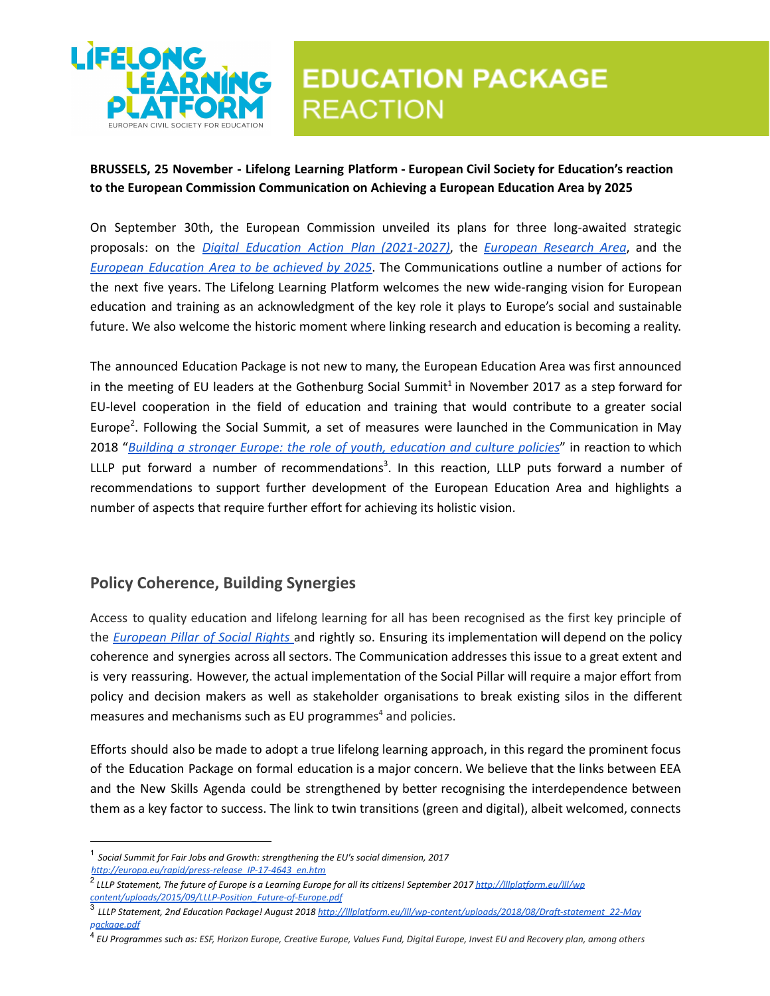

# **EDUCATION PACKAGE REACTION**

#### **BRUSSELS, 25 November - Lifelong Learning Platform - European Civil Society for Education's reaction to the European Commission Communication on Achieving a European Education Area by 2025**

On September 30th, the European Commission unveiled its plans for three long-awaited strategic proposals: on the *Digital Education Action Plan (2021-2027)*, the *European Research Area*, and the *European Education Area to be achieved by 2025*. The Communications outline a number of actions for the next five years. The Lifelong Learning Platform welcomes the new wide-ranging vision for European education and training as an acknowledgment of the key role it plays to Europe's social and sustainable future. We also welcome the historic moment where linking research and education is becoming a reality.

The announced Education Package is not new to many, the European Education Area was first announced in the meeting of EU leaders at the Gothenburg Social Summit<sup>1</sup> in November 2017 as a step forward for EU-level cooperation in the field of education and training that would contribute to a greater social Europe<sup>2</sup>. Following the Social Summit, a set of measures were launched in the Communication in May 2018 "*Building a stronger Europe: the role of youth, education and culture policies*" in reaction to which LLLP put forward a number of recommendations<sup>3</sup>. In this reaction, LLLP puts forward a number of recommendations to support further development of the European Education Area and highlights a number of aspects that require further effort for achieving its holistic vision.

## **Policy Coherence, Building Synergies**

Access to quality education and lifelong learning for all has been recognised as the first key principle of the *European Pillar of Social Rights* and rightly so. Ensuring its implementation will depend on the policy coherence and synergies across all sectors. The Communication addresses this issue to a great extent and is very reassuring. However, the actual implementation of the Social Pillar will require a major effort from policy and decision makers as well as stakeholder organisations to break existing silos in the different measures and mechanisms such as EU programmes $4$  and policies.

Efforts should also be made to adopt a true lifelong learning approach, in this regard the prominent focus of the Education Package on formal education is a major concern. We believe that the links between EEA and the New Skills Agenda could be strengthened by better recognising the interdependence between them as a key factor to success. The link to twin transitions (green and digital), albeit welcomed, connects

<sup>1</sup> *Social Summit for Fair Jobs and Growth: strengthening the EU's social dimension, 2017*

*http://europa.eu/rapid/press-release\_IP-17-4643\_en.htm*

<sup>&</sup>lt;sup>2</sup> LLLP Statement, The future of Europe is a Learning Europe for all its citizens! September 2017 <u>http://Illplatform.eu/Ill/wp</u> *content/uploads/2015/09/LLLP-Position\_Future-of-Europe.pdf*

<sup>3</sup> *LLLP Statement, 2nd Education Package! August 2018 http://lllplatform.eu/lll/wp-content/uploads/2018/08/Draft-statement\_22-May package.pdf*

<sup>&</sup>lt;sup>4</sup> EU Programmes such as: ESF, Horizon Europe, Creative Europe, Values Fund, Digital Europe, Invest EU and Recovery plan, among others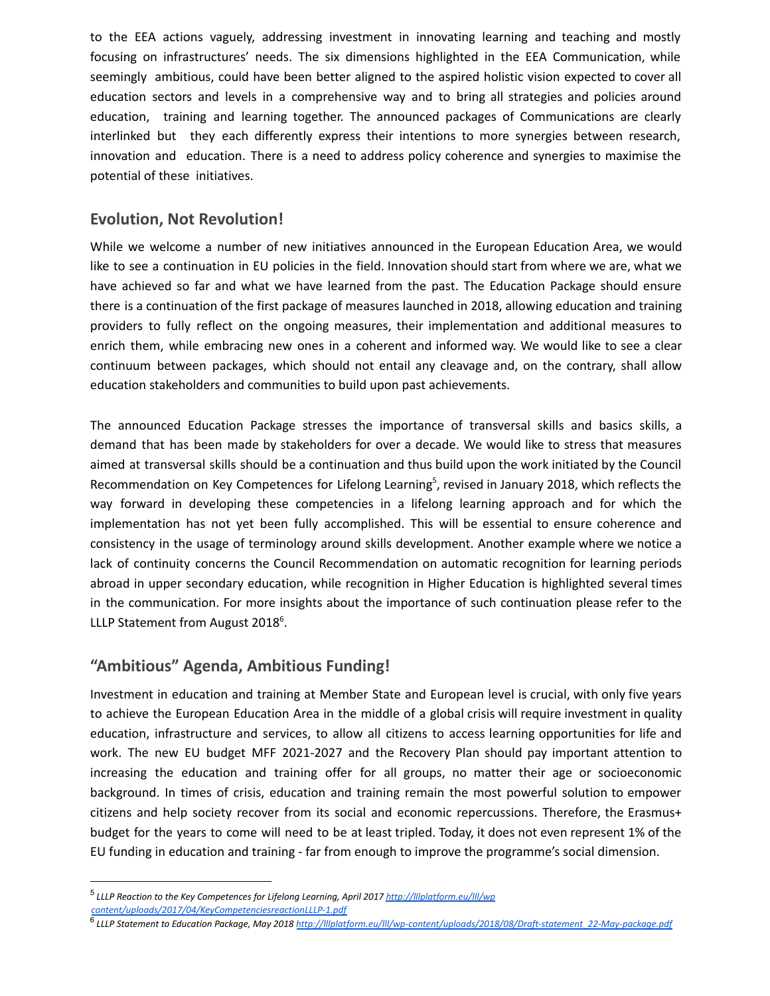to the EEA actions vaguely, addressing investment in innovating learning and teaching and mostly focusing on infrastructures' needs. The six dimensions highlighted in the EEA Communication, while seemingly ambitious, could have been better aligned to the aspired holistic vision expected to cover all education sectors and levels in a comprehensive way and to bring all strategies and policies around education, training and learning together. The announced packages of Communications are clearly interlinked but they each differently express their intentions to more synergies between research, innovation and education. There is a need to address policy coherence and synergies to maximise the potential of these initiatives.

#### **Evolution, Not Revolution!**

While we welcome a number of new initiatives announced in the European Education Area, we would like to see a continuation in EU policies in the field. Innovation should start from where we are, what we have achieved so far and what we have learned from the past. The Education Package should ensure there is a continuation of the first package of measures launched in 2018, allowing education and training providers to fully reflect on the ongoing measures, their implementation and additional measures to enrich them, while embracing new ones in a coherent and informed way. We would like to see a clear continuum between packages, which should not entail any cleavage and, on the contrary, shall allow education stakeholders and communities to build upon past achievements.

The announced Education Package stresses the importance of transversal skills and basics skills, a demand that has been made by stakeholders for over a decade. We would like to stress that measures aimed at transversal skills should be a continuation and thus build upon the work initiated by the Council Recommendation on Key Competences for Lifelong Learning<sup>5</sup>, revised in January 2018, which reflects the way forward in developing these competencies in a lifelong learning approach and for which the implementation has not yet been fully accomplished. This will be essential to ensure coherence and consistency in the usage of terminology around skills development. Another example where we notice a lack of continuity concerns the Council Recommendation on automatic recognition for learning periods abroad in upper secondary education, while recognition in Higher Education is highlighted several times in the communication. For more insights about the importance of such continuation please refer to the LLLP Statement from August 2018<sup>6</sup>.

## **"Ambitious" Agenda, Ambitious Funding!**

Investment in education and training at Member State and European level is crucial, with only five years to achieve the European Education Area in the middle of a global crisis will require investment in quality education, infrastructure and services, to allow all citizens to access learning opportunities for life and work. The new EU budget MFF 2021-2027 and the Recovery Plan should pay important attention to increasing the education and training offer for all groups, no matter their age or socioeconomic background. In times of crisis, education and training remain the most powerful solution to empower citizens and help society recover from its social and economic repercussions. Therefore, the Erasmus+ budget for the years to come will need to be at least tripled. Today, it does not even represent 1% of the EU funding in education and training - far from enough to improve the programme's social dimension.

<sup>5</sup> *LLLP Reaction to the Key Competences for Lifelong Learning, April 2017 http://lllplatform.eu/lll/wp content/uploads/2017/04/KeyCompetenciesreactionLLLP-1.pdf*

<sup>6</sup> *LLLP Statement to Education Package, May 2018 http://lllplatform.eu/lll/wp-content/uploads/2018/08/Draft-statement\_22-May-package.pdf*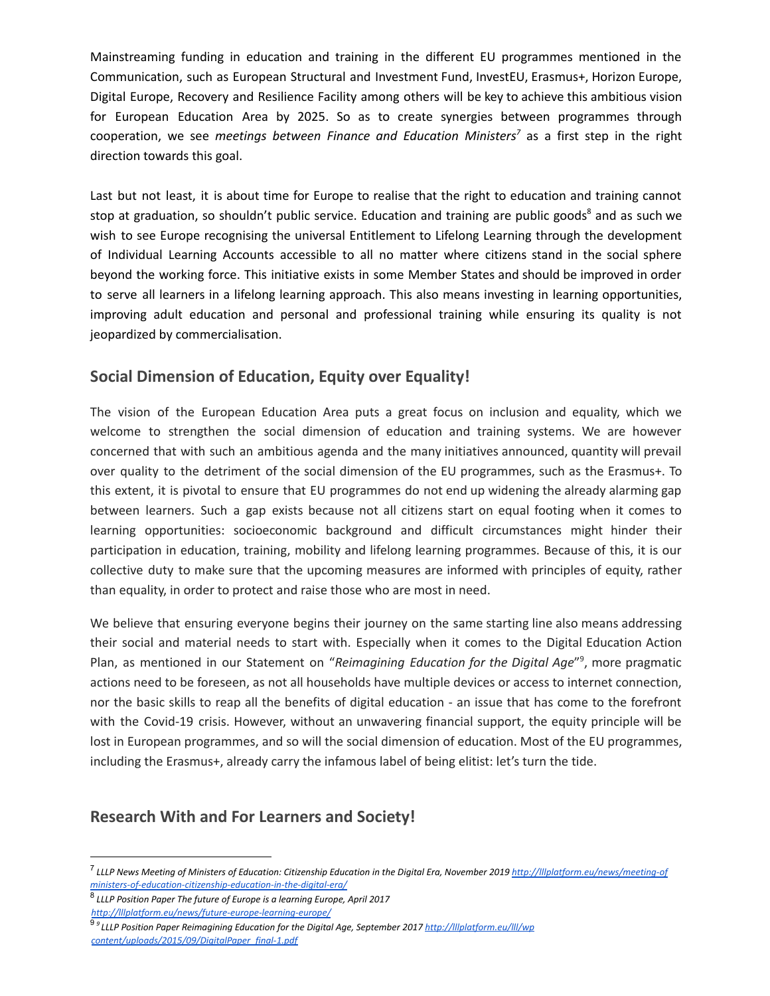Mainstreaming funding in education and training in the different EU programmes mentioned in the Communication, such as European Structural and Investment Fund, InvestEU, Erasmus+, Horizon Europe, Digital Europe, Recovery and Resilience Facility among others will be key to achieve this ambitious vision for European Education Area by 2025. So as to create synergies between programmes through cooperation, we see *meetings between Finance and Education Ministers<sup>7</sup> as a first step in the right* direction towards this goal.

Last but not least, it is about time for Europe to realise that the right to education and training cannot stop at graduation, so shouldn't public service. Education and training are public goods<sup>8</sup> and as such we wish to see Europe recognising the universal Entitlement to Lifelong Learning through the development of Individual Learning Accounts accessible to all no matter where citizens stand in the social sphere beyond the working force. This initiative exists in some Member States and should be improved in order to serve all learners in a lifelong learning approach. This also means investing in learning opportunities, improving adult education and personal and professional training while ensuring its quality is not jeopardized by commercialisation.

## **Social Dimension of Education, Equity over Equality!**

The vision of the European Education Area puts a great focus on inclusion and equality, which we welcome to strengthen the social dimension of education and training systems. We are however concerned that with such an ambitious agenda and the many initiatives announced, quantity will prevail over quality to the detriment of the social dimension of the EU programmes, such as the Erasmus+. To this extent, it is pivotal to ensure that EU programmes do not end up widening the already alarming gap between learners. Such a gap exists because not all citizens start on equal footing when it comes to learning opportunities: socioeconomic background and difficult circumstances might hinder their participation in education, training, mobility and lifelong learning programmes. Because of this, it is our collective duty to make sure that the upcoming measures are informed with principles of equity, rather than equality, in order to protect and raise those who are most in need.

We believe that ensuring everyone begins their journey on the same starting line also means addressing their social and material needs to start with. Especially when it comes to the Digital Education Action Plan, as mentioned in our Statement on "Reimagining *Education for the Digital Age*"<sup>9</sup>, more pragmatic actions need to be foreseen, as not all households have multiple devices or access to internet connection, nor the basic skills to reap all the benefits of digital education - an issue that has come to the forefront with the Covid-19 crisis. However, without an unwavering financial support, the equity principle will be lost in European programmes, and so will the social dimension of education. Most of the EU programmes, including the Erasmus+, already carry the infamous label of being elitist: let's turn the tide.

#### **Research With and For Learners and Society!**

<sup>&</sup>lt;sup>7</sup> LLLP News Meeting of Ministers of Education: Citizenship Education in the Digital Era, November 2019 <u>http://lllplatform.eu/news/meeting-of</u> *ministers-of-education-citizenship-education-in-the-digital-era/*

<sup>8</sup> *LLLP Position Paper The future of Europe is a learning Europe, April 2017 http://lllplatform.eu/news/future-europe-learning-europe/*

<sup>9</sup> *<sup>9</sup> LLLP Position Paper Reimagining Education for the Digital Age, September 2017 http://lllplatform.eu/lll/wp content/uploads/2015/09/DigitalPaper\_final-1.pdf*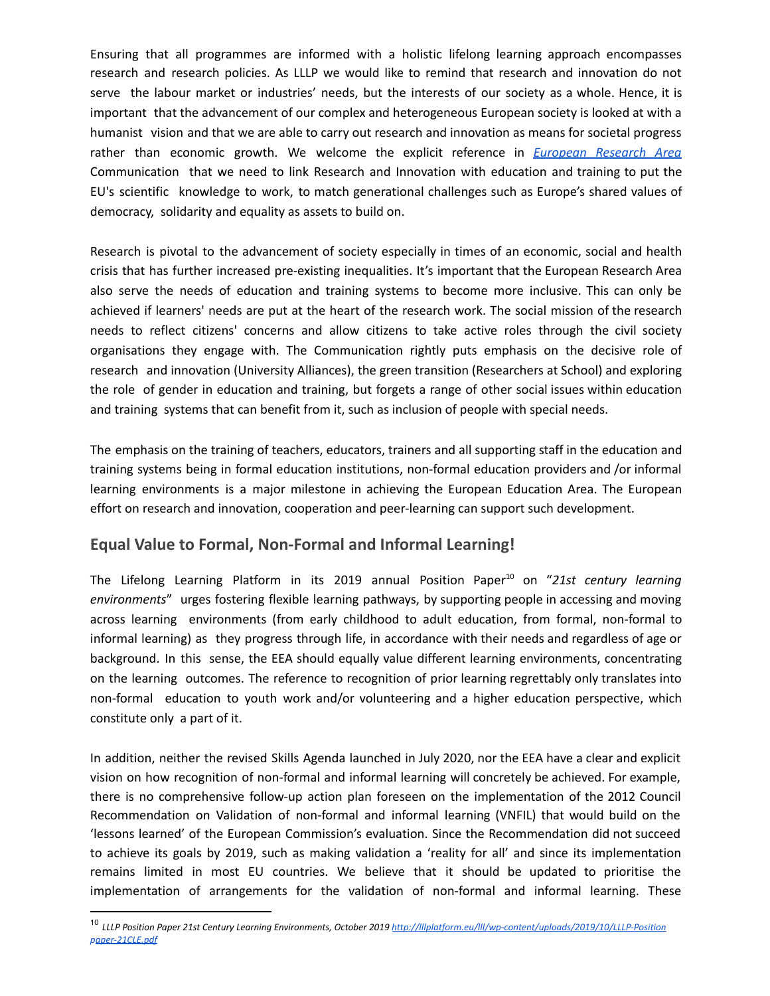Ensuring that all programmes are informed with a holistic lifelong learning approach encompasses research and research policies. As LLLP we would like to remind that research and innovation do not serve the labour market or industries' needs, but the interests of our society as a whole. Hence, it is important that the advancement of our complex and heterogeneous European society is looked at with a humanist vision and that we are able to carry out research and innovation as means for societal progress rather than economic growth. We welcome the explicit reference in *European Research Area* Communication that we need to link Research and Innovation with education and training to put the EU's scientific knowledge to work, to match generational challenges such as Europe's shared values of democracy, solidarity and equality as assets to build on.

Research is pivotal to the advancement of society especially in times of an economic, social and health crisis that has further increased pre-existing inequalities. It's important that the European Research Area also serve the needs of education and training systems to become more inclusive. This can only be achieved if learners' needs are put at the heart of the research work. The social mission of the research needs to reflect citizens' concerns and allow citizens to take active roles through the civil society organisations they engage with. The Communication rightly puts emphasis on the decisive role of research and innovation (University Alliances), the green transition (Researchers at School) and exploring the role of gender in education and training, but forgets a range of other social issues within education and training systems that can benefit from it, such as inclusion of people with special needs.

The emphasis on the training of teachers, educators, trainers and all supporting staff in the education and training systems being in formal education institutions, non-formal education providers and /or informal learning environments is a major milestone in achieving the European Education Area. The European effort on research and innovation, cooperation and peer-learning can support such development.

## **Equal Value to Formal, Non-Formal and Informal Learning!**

The Lifelong Learning Platform in its 2019 annual Position Paper<sup>10</sup> on "21st century learning *environments*" urges fostering flexible learning pathways, by supporting people in accessing and moving across learning environments (from early childhood to adult education, from formal, non-formal to informal learning) as they progress through life, in accordance with their needs and regardless of age or background. In this sense, the EEA should equally value different learning environments, concentrating on the learning outcomes. The reference to recognition of prior learning regrettably only translates into non-formal education to youth work and/or volunteering and a higher education perspective, which constitute only a part of it.

In addition, neither the revised Skills Agenda launched in July 2020, nor the EEA have a clear and explicit vision on how recognition of non-formal and informal learning will concretely be achieved. For example, there is no comprehensive follow-up action plan foreseen on the implementation of the 2012 Council Recommendation on Validation of non-formal and informal learning (VNFIL) that would build on the 'lessons learned' of the European Commission's evaluation. Since the Recommendation did not succeed to achieve its goals by 2019, such as making validation a 'reality for all' and since its implementation remains limited in most EU countries. We believe that it should be updated to prioritise the implementation of arrangements for the validation of non-formal and informal learning. These

<sup>10</sup> *LLLP Position Paper 21st Century Learning Environments, October 2019 http://lllplatform.eu/lll/wp-content/uploads/2019/10/LLLP-Position paper-21CLE.pdf*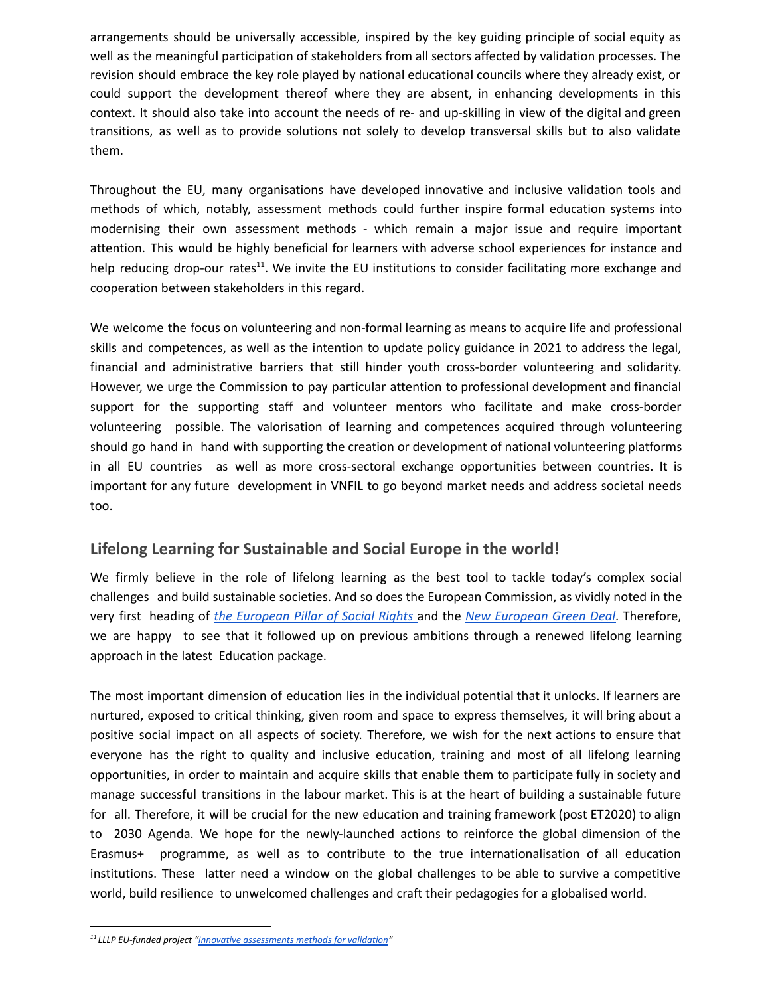arrangements should be universally accessible, inspired by the key guiding principle of social equity as well as the meaningful participation of stakeholders from all sectors affected by validation processes. The revision should embrace the key role played by national educational councils where they already exist, or could support the development thereof where they are absent, in enhancing developments in this context. It should also take into account the needs of re- and up-skilling in view of the digital and green transitions, as well as to provide solutions not solely to develop transversal skills but to also validate them.

Throughout the EU, many organisations have developed innovative and inclusive validation tools and methods of which, notably, assessment methods could further inspire formal education systems into modernising their own assessment methods - which remain a major issue and require important attention. This would be highly beneficial for learners with adverse school experiences for instance and help reducing drop-our rates<sup>11</sup>. We invite the EU institutions to consider facilitating more exchange and cooperation between stakeholders in this regard.

We welcome the focus on volunteering and non-formal learning as means to acquire life and professional skills and competences, as well as the intention to update policy guidance in 2021 to address the legal, financial and administrative barriers that still hinder youth cross-border volunteering and solidarity. However, we urge the Commission to pay particular attention to professional development and financial support for the supporting staff and volunteer mentors who facilitate and make cross-border volunteering possible. The valorisation of learning and competences acquired through volunteering should go hand in hand with supporting the creation or development of national volunteering platforms in all EU countries as well as more cross-sectoral exchange opportunities between countries. It is important for any future development in VNFIL to go beyond market needs and address societal needs too.

## **Lifelong Learning for Sustainable and Social Europe in the world!**

We firmly believe in the role of lifelong learning as the best tool to tackle today's complex social challenges and build sustainable societies. And so does the European Commission, as vividly noted in the very first heading of *the European Pillar of Social Rights* and the *New European Green Deal*. Therefore, we are happy to see that it followed up on previous ambitions through a renewed lifelong learning approach in the latest Education package.

The most important dimension of education lies in the individual potential that it unlocks. If learners are nurtured, exposed to critical thinking, given room and space to express themselves, it will bring about a positive social impact on all aspects of society. Therefore, we wish for the next actions to ensure that everyone has the right to quality and inclusive education, training and most of all lifelong learning opportunities, in order to maintain and acquire skills that enable them to participate fully in society and manage successful transitions in the labour market. This is at the heart of building a sustainable future for all. Therefore, it will be crucial for the new education and training framework (post ET2020) to align to 2030 Agenda. We hope for the newly-launched actions to reinforce the global dimension of the Erasmus+ programme, as well as to contribute to the true internationalisation of all education institutions. These latter need a window on the global challenges to be able to survive a competitive world, build resilience to unwelcomed challenges and craft their pedagogies for a globalised world.

*<sup>11</sup> LLLP EU-funded project "Innovative assessments methods for validation"*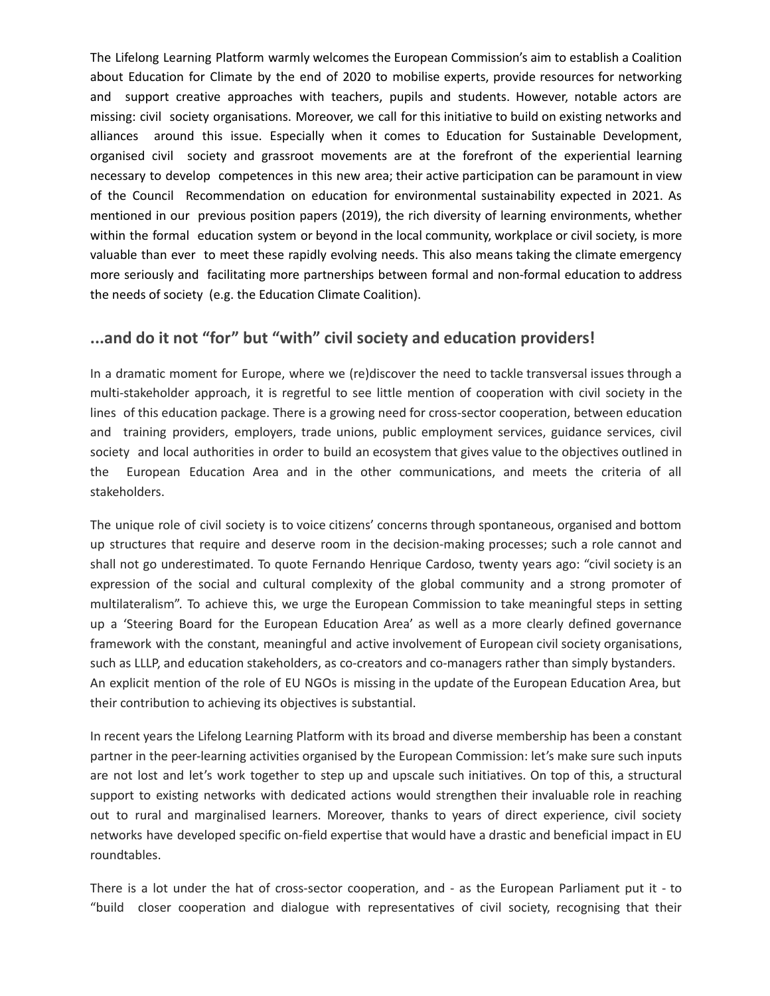The Lifelong Learning Platform warmly welcomes the European Commission's aim to establish a Coalition about Education for Climate by the end of 2020 to mobilise experts, provide resources for networking and support creative approaches with teachers, pupils and students. However, notable actors are missing: civil society organisations. Moreover, we call for this initiative to build on existing networks and alliances around this issue. Especially when it comes to Education for Sustainable Development, organised civil society and grassroot movements are at the forefront of the experiential learning necessary to develop competences in this new area; their active participation can be paramount in view of the Council Recommendation on education for environmental sustainability expected in 2021. As mentioned in our previous position papers (2019), the rich diversity of learning environments, whether within the formal education system or beyond in the local community, workplace or civil society, is more valuable than ever to meet these rapidly evolving needs. This also means taking the climate emergency more seriously and facilitating more partnerships between formal and non-formal education to address the needs of society (e.g. the Education Climate Coalition).

## **...and do it not "for" but "with" civil society and education providers!**

In a dramatic moment for Europe, where we (re)discover the need to tackle transversal issues through a multi-stakeholder approach, it is regretful to see little mention of cooperation with civil society in the lines of this education package. There is a growing need for cross-sector cooperation, between education and training providers, employers, trade unions, public employment services, guidance services, civil society and local authorities in order to build an ecosystem that gives value to the objectives outlined in the European Education Area and in the other communications, and meets the criteria of all stakeholders.

The unique role of civil society is to voice citizens' concerns through spontaneous, organised and bottom up structures that require and deserve room in the decision-making processes; such a role cannot and shall not go underestimated. To quote Fernando Henrique Cardoso, twenty years ago: "civil society is an expression of the social and cultural complexity of the global community and a strong promoter of multilateralism". To achieve this, we urge the European Commission to take meaningful steps in setting up a 'Steering Board for the European Education Area' as well as a more clearly defined governance framework with the constant, meaningful and active involvement of European civil society organisations, such as LLLP, and education stakeholders, as co-creators and co-managers rather than simply bystanders. An explicit mention of the role of EU NGOs is missing in the update of the European Education Area, but their contribution to achieving its objectives is substantial.

In recent years the Lifelong Learning Platform with its broad and diverse membership has been a constant partner in the peer-learning activities organised by the European Commission: let's make sure such inputs are not lost and let's work together to step up and upscale such initiatives. On top of this, a structural support to existing networks with dedicated actions would strengthen their invaluable role in reaching out to rural and marginalised learners. Moreover, thanks to years of direct experience, civil society networks have developed specific on-field expertise that would have a drastic and beneficial impact in EU roundtables.

There is a lot under the hat of cross-sector cooperation, and - as the European Parliament put it - to "build closer cooperation and dialogue with representatives of civil society, recognising that their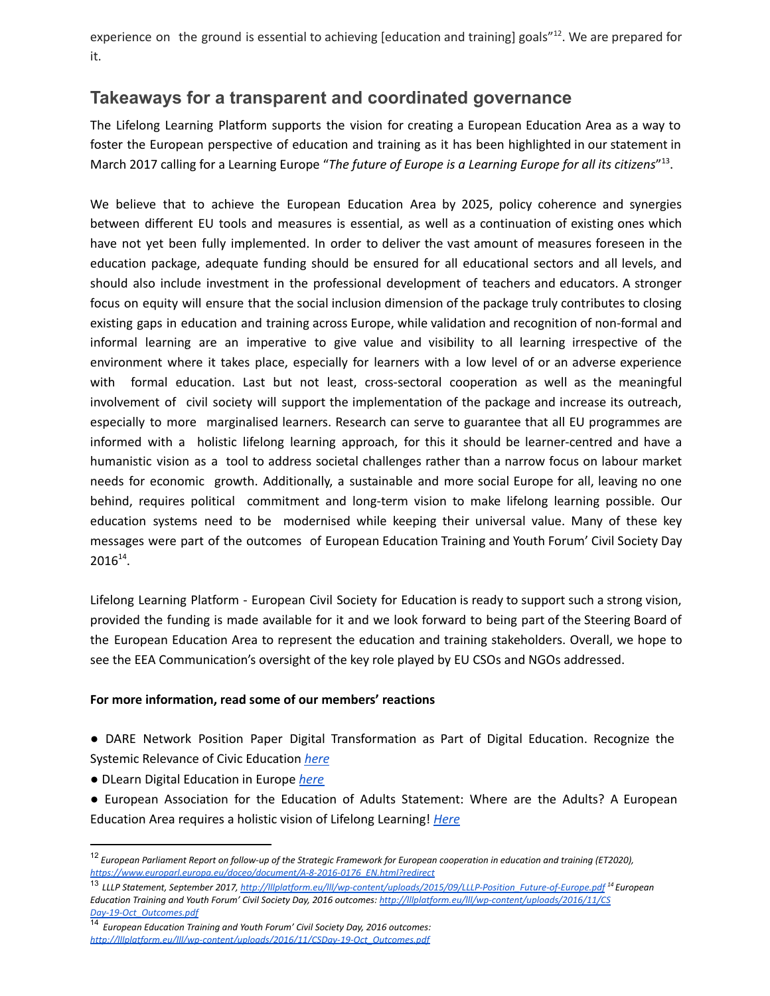experience on the ground is essential to achieving [education and training] goals"<sup>12</sup>. We are prepared for it.

# **Takeaways for a transparent and coordinated governance**

The Lifelong Learning Platform supports the vision for creating a European Education Area as a way to foster the European perspective of education and training as it has been highlighted in our statement in March 2017 calling for a Learning Europe "*The future of Europe is a Learning Europe for all its citizens*" . 13

We believe that to achieve the European Education Area by 2025, policy coherence and synergies between different EU tools and measures is essential, as well as a continuation of existing ones which have not yet been fully implemented. In order to deliver the vast amount of measures foreseen in the education package, adequate funding should be ensured for all educational sectors and all levels, and should also include investment in the professional development of teachers and educators. A stronger focus on equity will ensure that the social inclusion dimension of the package truly contributes to closing existing gaps in education and training across Europe, while validation and recognition of non-formal and informal learning are an imperative to give value and visibility to all learning irrespective of the environment where it takes place, especially for learners with a low level of or an adverse experience with formal education. Last but not least, cross-sectoral cooperation as well as the meaningful involvement of civil society will support the implementation of the package and increase its outreach, especially to more marginalised learners. Research can serve to guarantee that all EU programmes are informed with a holistic lifelong learning approach, for this it should be learner-centred and have a humanistic vision as a tool to address societal challenges rather than a narrow focus on labour market needs for economic growth. Additionally, a sustainable and more social Europe for all, leaving no one behind, requires political commitment and long-term vision to make lifelong learning possible. Our education systems need to be modernised while keeping their universal value. Many of these key messages were part of the outcomes of European Education Training and Youth Forum' Civil Society Day  $2016^{14}$ .

Lifelong Learning Platform - European Civil Society for Education is ready to support such a strong vision, provided the funding is made available for it and we look forward to being part of the Steering Board of the European Education Area to represent the education and training stakeholders. Overall, we hope to see the EEA Communication's oversight of the key role played by EU CSOs and NGOs addressed.

#### **For more information, read some of our members' reactions**

● DARE Network Position Paper Digital Transformation as Part of Digital Education. Recognize the Systemic Relevance of Civic Education *here*

- DLearn Digital Education in Europe *here*
- European Association for the Education of Adults Statement: Where are the Adults? A European Education Area requires a holistic vision of Lifelong Learning! *Here*

<sup>&</sup>lt;sup>12</sup> European Parliament Report on follow-up of the Strategic Framework for European cooperation in education and training (ET2020), *https://www.europarl.europa.eu/doceo/document/A-8-2016-0176\_EN.html?redirect*

<sup>13</sup> *LLLP Statement, September 2017, http://lllplatform.eu/lll/wp-content/uploads/2015/09/LLLP-Position\_Future-of-Europe.pdf <sup>14</sup> European Education Training and Youth Forum' Civil Society Day, 2016 outcomes: http://lllplatform.eu/lll/wp-content/uploads/2016/11/CS Day-19-Oct\_Outcomes.pdf*

<sup>14</sup> *European Education Training and Youth Forum' Civil Society Day, 2016 outcomes: http://lllplatform.eu/lll/wp-content/uploads/2016/11/CSDay-19-Oct\_Outcomes.pdf*